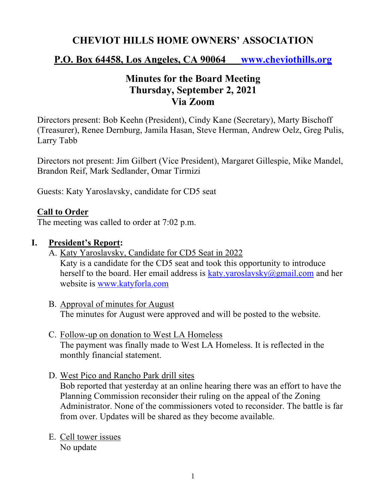# **CHEVIOT HILLS HOME OWNERS' ASSOCIATION**

# **P.O. Box 64458, Los Angeles, CA 90064 www.cheviothills.org**

# **Minutes for the Board Meeting Thursday, September 2, 2021 Via Zoom**

Directors present: Bob Keehn (President), Cindy Kane (Secretary), Marty Bischoff (Treasurer), Renee Dernburg, Jamila Hasan, Steve Herman, Andrew Oelz, Greg Pulis, Larry Tabb

Directors not present: Jim Gilbert (Vice President), Margaret Gillespie, Mike Mandel, Brandon Reif, Mark Sedlander, Omar Tirmizi

Guests: Katy Yaroslavsky, candidate for CD5 seat

### **Call to Order**

The meeting was called to order at 7:02 p.m.

### **I. President's Report:**

- A. Katy Yaroslavsky, Candidate for CD5 Seat in 2022 Katy is a candidate for the CD5 seat and took this opportunity to introduce herself to the board. Her email address is katy.yaroslavsky $@g$ gmail.com and her website is www.katyforla.com
- B. Approval of minutes for August The minutes for August were approved and will be posted to the website.
- C. Follow-up on donation to West LA Homeless The payment was finally made to West LA Homeless. It is reflected in the monthly financial statement.
- D. West Pico and Rancho Park drill sites

Bob reported that yesterday at an online hearing there was an effort to have the Planning Commission reconsider their ruling on the appeal of the Zoning Administrator. None of the commissioners voted to reconsider. The battle is far from over. Updates will be shared as they become available.

E. Cell tower issues No update